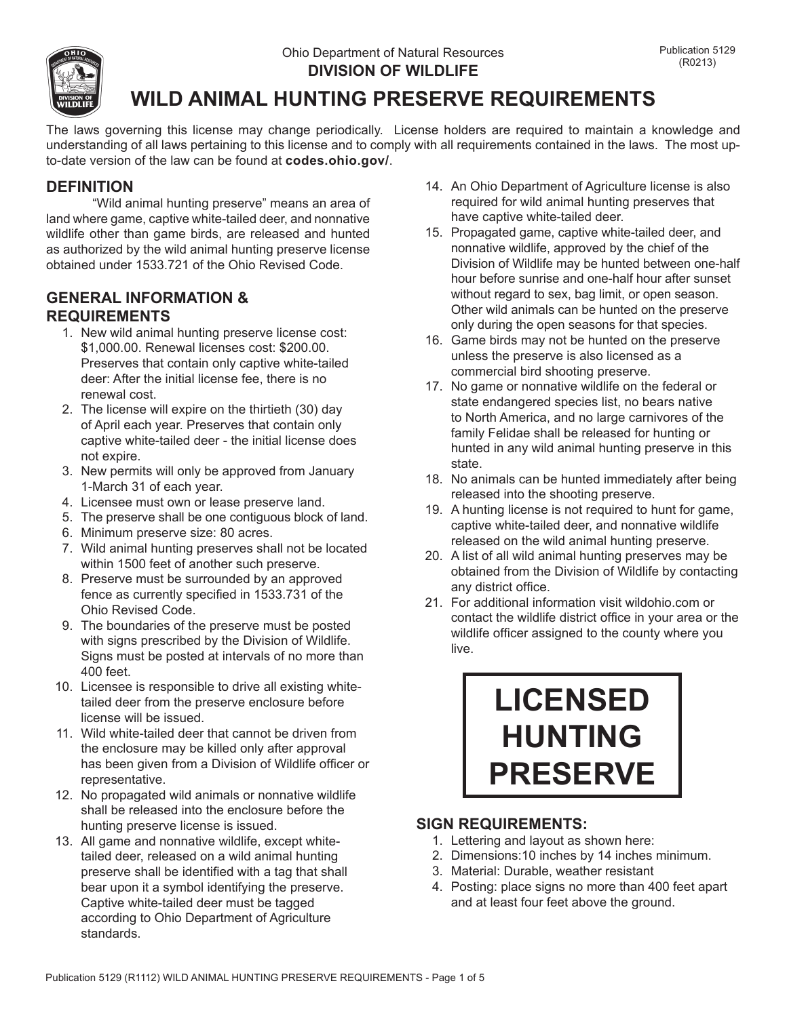

# **WILD ANIMAL HUNTING PRESERVE REQUIREMENTS**

The laws governing this license may change periodically. License holders are required to maintain a knowledge and understanding of all laws pertaining to this license and to comply with all requirements contained in the laws. The most upto-date version of the law can be found at **codes.ohio.gov/**.

# **DEFINITION**

"Wild animal hunting preserve" means an area of land where game, captive white-tailed deer, and nonnative wildlife other than game birds, are released and hunted as authorized by the wild animal hunting preserve license obtained under 1533.721 of the Ohio Revised Code.

# **GENERAL INFORMATION & REQUIREMENTS**

- 1. New wild animal hunting preserve license cost: \$1,000.00. Renewal licenses cost: \$200.00. Preserves that contain only captive white-tailed deer: After the initial license fee, there is no renewal cost.
- 2. The license will expire on the thirtieth (30) day of April each year. Preserves that contain only captive white-tailed deer - the initial license does not expire.
- 3. New permits will only be approved from January 1-March 31 of each year.
- 4. Licensee must own or lease preserve land.
- 5. The preserve shall be one contiguous block of land.
- 6. Minimum preserve size: 80 acres.
- 7. Wild animal hunting preserves shall not be located within 1500 feet of another such preserve.
- 8. Preserve must be surrounded by an approved fence as currently specified in 1533.731 of the Ohio Revised Code.
- 9. The boundaries of the preserve must be posted with signs prescribed by the Division of Wildlife. Signs must be posted at intervals of no more than 400 feet.
- 10. Licensee is responsible to drive all existing whitetailed deer from the preserve enclosure before license will be issued.
- 11. Wild white-tailed deer that cannot be driven from the enclosure may be killed only after approval has been given from a Division of Wildlife officer or representative.
- 12. No propagated wild animals or nonnative wildlife shall be released into the enclosure before the hunting preserve license is issued.
- 13. All game and nonnative wildlife, except whitetailed deer, released on a wild animal hunting preserve shall be identified with a tag that shall bear upon it a symbol identifying the preserve. Captive white-tailed deer must be tagged according to Ohio Department of Agriculture standards.
- 14. An Ohio Department of Agriculture license is also required for wild animal hunting preserves that have captive white-tailed deer.
- 15. Propagated game, captive white-tailed deer, and nonnative wildlife, approved by the chief of the Division of Wildlife may be hunted between one-half hour before sunrise and one-half hour after sunset without regard to sex, bag limit, or open season. Other wild animals can be hunted on the preserve only during the open seasons for that species.
- 16. Game birds may not be hunted on the preserve unless the preserve is also licensed as a commercial bird shooting preserve.
- 17. No game or nonnative wildlife on the federal or state endangered species list, no bears native to North America, and no large carnivores of the family Felidae shall be released for hunting or hunted in any wild animal hunting preserve in this state.
- 18. No animals can be hunted immediately after being released into the shooting preserve.
- 19. A hunting license is not required to hunt for game, captive white-tailed deer, and nonnative wildlife released on the wild animal hunting preserve.
- 20. A list of all wild animal hunting preserves may be obtained from the Division of Wildlife by contacting any district office.
- 21. For additional information visit wildohio.com or contact the wildlife district office in your area or the wildlife officer assigned to the county where you live.

# **LICENSED HUNTING PRESERVE**

# **SIGN REQUIREMENTS:**

- 1. Lettering and layout as shown here:
- 2. Dimensions:10 inches by 14 inches minimum.
- 3. Material: Durable, weather resistant
- 4. Posting: place signs no more than 400 feet apart and at least four feet above the ground.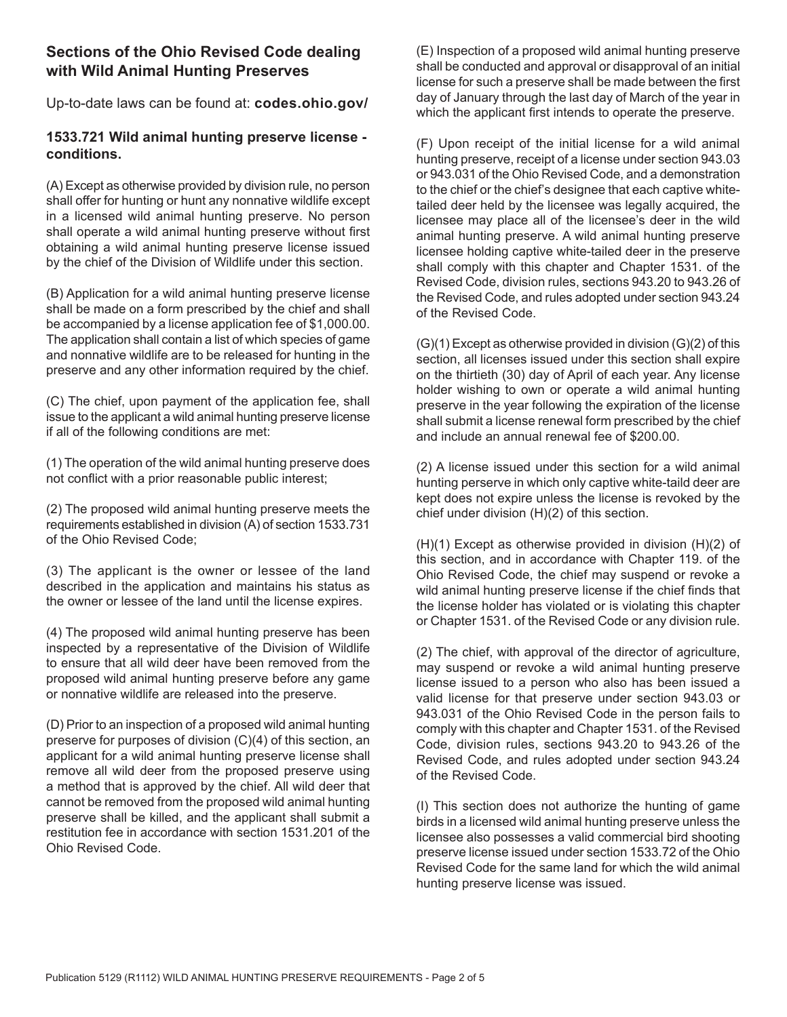# **Sections of the Ohio Revised Code dealing with Wild Animal Hunting Preserves**

Up-to-date laws can be found at: **codes.ohio.gov/**

#### **1533.721 Wild animal hunting preserve license conditions.**

(A) Except as otherwise provided by division rule, no person shall offer for hunting or hunt any nonnative wildlife except in a licensed wild animal hunting preserve. No person shall operate a wild animal hunting preserve without first obtaining a wild animal hunting preserve license issued by the chief of the Division of Wildlife under this section.

(B) Application for a wild animal hunting preserve license shall be made on a form prescribed by the chief and shall be accompanied by a license application fee of \$1,000.00. The application shall contain a list of which species of game and nonnative wildlife are to be released for hunting in the preserve and any other information required by the chief.

(C) The chief, upon payment of the application fee, shall issue to the applicant a wild animal hunting preserve license if all of the following conditions are met:

(1) The operation of the wild animal hunting preserve does not conflict with a prior reasonable public interest;

(2) The proposed wild animal hunting preserve meets the requirements established in division (A) of section 1533.731 of the Ohio Revised Code;

(3) The applicant is the owner or lessee of the land described in the application and maintains his status as the owner or lessee of the land until the license expires.

(4) The proposed wild animal hunting preserve has been inspected by a representative of the Division of Wildlife to ensure that all wild deer have been removed from the proposed wild animal hunting preserve before any game or nonnative wildlife are released into the preserve.

(D) Prior to an inspection of a proposed wild animal hunting preserve for purposes of division (C)(4) of this section, an applicant for a wild animal hunting preserve license shall remove all wild deer from the proposed preserve using a method that is approved by the chief. All wild deer that cannot be removed from the proposed wild animal hunting preserve shall be killed, and the applicant shall submit a restitution fee in accordance with section 1531.201 of the Ohio Revised Code.

(E) Inspection of a proposed wild animal hunting preserve shall be conducted and approval or disapproval of an initial license for such a preserve shall be made between the first day of January through the last day of March of the year in which the applicant first intends to operate the preserve.

(F) Upon receipt of the initial license for a wild animal hunting preserve, receipt of a license under section 943.03 or 943.031 of the Ohio Revised Code, and a demonstration to the chief or the chief's designee that each captive whitetailed deer held by the licensee was legally acquired, the licensee may place all of the licensee's deer in the wild animal hunting preserve. A wild animal hunting preserve licensee holding captive white-tailed deer in the preserve shall comply with this chapter and Chapter 1531. of the Revised Code, division rules, sections 943.20 to 943.26 of the Revised Code, and rules adopted under section 943.24 of the Revised Code.

(G)(1) Except as otherwise provided in division (G)(2) of this section, all licenses issued under this section shall expire on the thirtieth (30) day of April of each year. Any license holder wishing to own or operate a wild animal hunting preserve in the year following the expiration of the license shall submit a license renewal form prescribed by the chief and include an annual renewal fee of \$200.00.

(2) A license issued under this section for a wild animal hunting perserve in which only captive white-taild deer are kept does not expire unless the license is revoked by the chief under division (H)(2) of this section.

(H)(1) Except as otherwise provided in division (H)(2) of this section, and in accordance with Chapter 119. of the Ohio Revised Code, the chief may suspend or revoke a wild animal hunting preserve license if the chief finds that the license holder has violated or is violating this chapter or Chapter 1531. of the Revised Code or any division rule.

(2) The chief, with approval of the director of agriculture, may suspend or revoke a wild animal hunting preserve license issued to a person who also has been issued a valid license for that preserve under section 943.03 or 943.031 of the Ohio Revised Code in the person fails to comply with this chapter and Chapter 1531. of the Revised Code, division rules, sections 943.20 to 943.26 of the Revised Code, and rules adopted under section 943.24 of the Revised Code.

(I) This section does not authorize the hunting of game birds in a licensed wild animal hunting preserve unless the licensee also possesses a valid commercial bird shooting preserve license issued under section 1533.72 of the Ohio Revised Code for the same land for which the wild animal hunting preserve license was issued.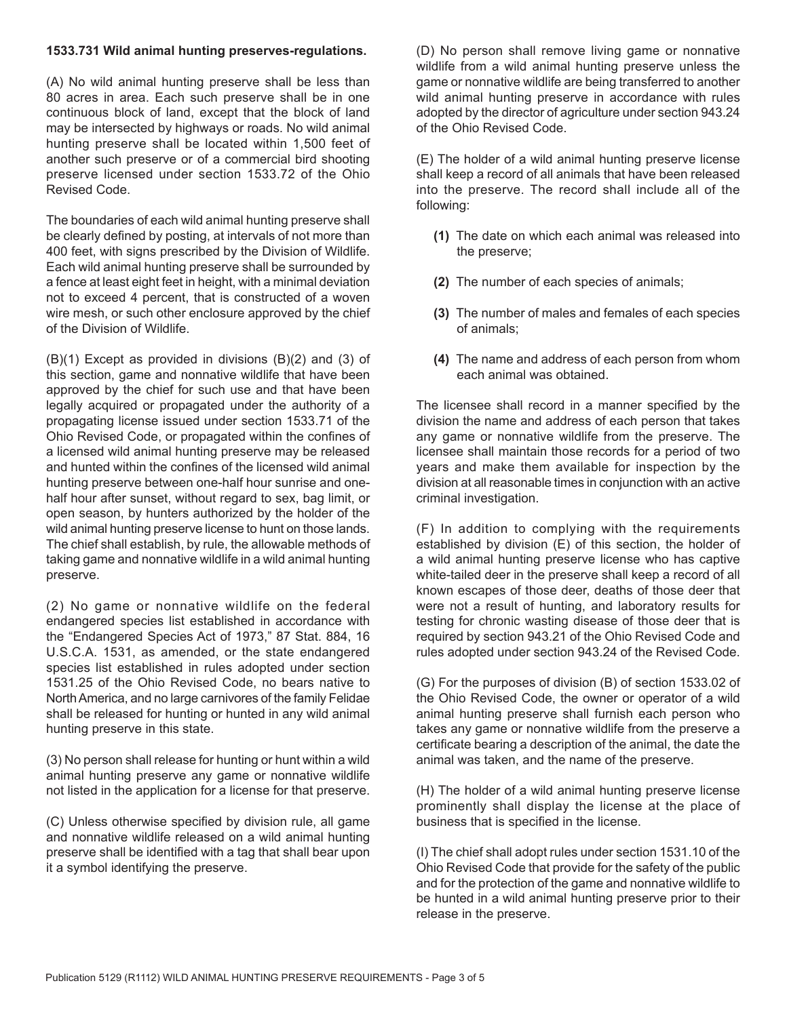#### **1533.731 Wild animal hunting preserves-regulations.**

(A) No wild animal hunting preserve shall be less than 80 acres in area. Each such preserve shall be in one continuous block of land, except that the block of land may be intersected by highways or roads. No wild animal hunting preserve shall be located within 1,500 feet of another such preserve or of a commercial bird shooting preserve licensed under section 1533.72 of the Ohio Revised Code.

The boundaries of each wild animal hunting preserve shall be clearly defined by posting, at intervals of not more than 400 feet, with signs prescribed by the Division of Wildlife. Each wild animal hunting preserve shall be surrounded by a fence at least eight feet in height, with a minimal deviation not to exceed 4 percent, that is constructed of a woven wire mesh, or such other enclosure approved by the chief of the Division of Wildlife.

(B)(1) Except as provided in divisions (B)(2) and (3) of this section, game and nonnative wildlife that have been approved by the chief for such use and that have been legally acquired or propagated under the authority of a propagating license issued under section 1533.71 of the Ohio Revised Code, or propagated within the confines of a licensed wild animal hunting preserve may be released and hunted within the confines of the licensed wild animal hunting preserve between one-half hour sunrise and onehalf hour after sunset, without regard to sex, bag limit, or open season, by hunters authorized by the holder of the wild animal hunting preserve license to hunt on those lands. The chief shall establish, by rule, the allowable methods of taking game and nonnative wildlife in a wild animal hunting preserve.

(2) No game or nonnative wildlife on the federal endangered species list established in accordance with the "Endangered Species Act of 1973," 87 Stat. 884, 16 U.S.C.A. 1531, as amended, or the state endangered species list established in rules adopted under section 1531.25 of the Ohio Revised Code, no bears native to North America, and no large carnivores of the family Felidae shall be released for hunting or hunted in any wild animal hunting preserve in this state.

(3) No person shall release for hunting or hunt within a wild animal hunting preserve any game or nonnative wildlife not listed in the application for a license for that preserve.

(C) Unless otherwise specified by division rule, all game and nonnative wildlife released on a wild animal hunting preserve shall be identified with a tag that shall bear upon it a symbol identifying the preserve.

(D) No person shall remove living game or nonnative wildlife from a wild animal hunting preserve unless the game or nonnative wildlife are being transferred to another wild animal hunting preserve in accordance with rules adopted by the director of agriculture under section 943.24 of the Ohio Revised Code.

(E) The holder of a wild animal hunting preserve license shall keep a record of all animals that have been released into the preserve. The record shall include all of the following:

- **(1)** The date on which each animal was released into the preserve;
- **(2)** The number of each species of animals;
- **(3)** The number of males and females of each species of animals;
- **(4)** The name and address of each person from whom each animal was obtained.

The licensee shall record in a manner specified by the division the name and address of each person that takes any game or nonnative wildlife from the preserve. The licensee shall maintain those records for a period of two years and make them available for inspection by the division at all reasonable times in conjunction with an active criminal investigation.

(F) In addition to complying with the requirements established by division (E) of this section, the holder of a wild animal hunting preserve license who has captive white-tailed deer in the preserve shall keep a record of all known escapes of those deer, deaths of those deer that were not a result of hunting, and laboratory results for testing for chronic wasting disease of those deer that is required by section 943.21 of the Ohio Revised Code and rules adopted under section 943.24 of the Revised Code.

(G) For the purposes of division (B) of section 1533.02 of the Ohio Revised Code, the owner or operator of a wild animal hunting preserve shall furnish each person who takes any game or nonnative wildlife from the preserve a certificate bearing a description of the animal, the date the animal was taken, and the name of the preserve.

(H) The holder of a wild animal hunting preserve license prominently shall display the license at the place of business that is specified in the license.

(I) The chief shall adopt rules under section 1531.10 of the Ohio Revised Code that provide for the safety of the public and for the protection of the game and nonnative wildlife to be hunted in a wild animal hunting preserve prior to their release in the preserve.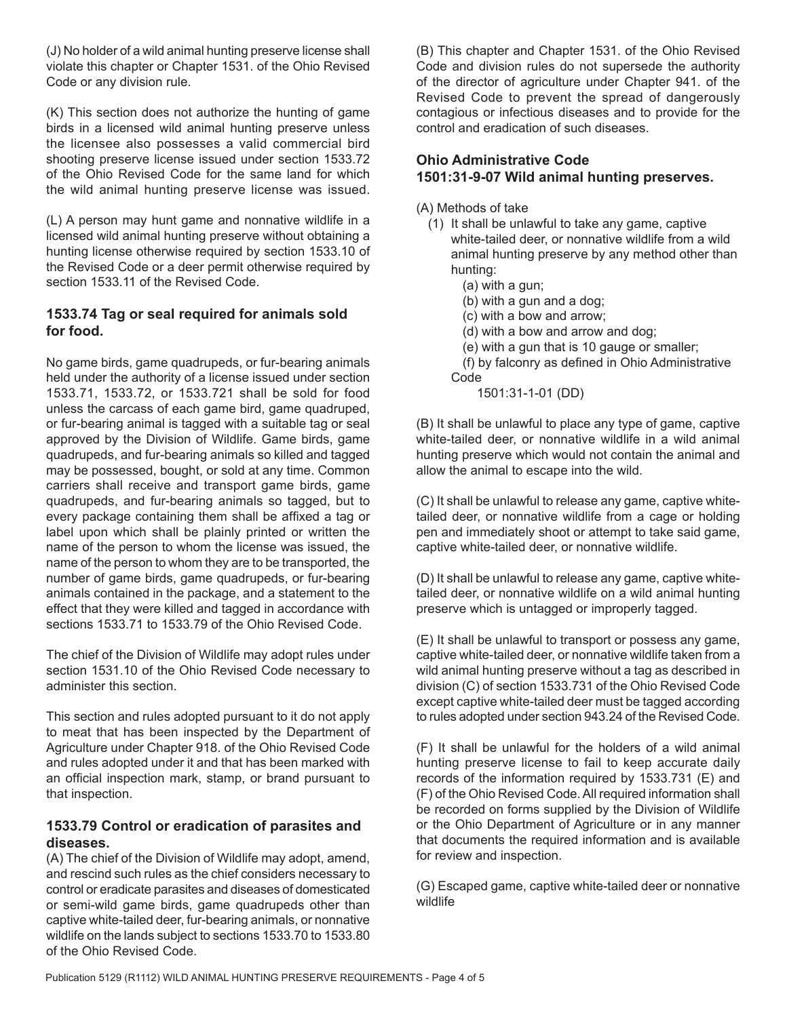(J) No holder of a wild animal hunting preserve license shall violate this chapter or Chapter 1531. of the Ohio Revised Code or any division rule.

(K) This section does not authorize the hunting of game birds in a licensed wild animal hunting preserve unless the licensee also possesses a valid commercial bird shooting preserve license issued under section 1533.72 of the Ohio Revised Code for the same land for which the wild animal hunting preserve license was issued.

(L) A person may hunt game and nonnative wildlife in a licensed wild animal hunting preserve without obtaining a hunting license otherwise required by section 1533.10 of the Revised Code or a deer permit otherwise required by section 1533.11 of the Revised Code.

#### **1533.74 Tag or seal required for animals sold for food.**

No game birds, game quadrupeds, or fur-bearing animals held under the authority of a license issued under section 1533.71, 1533.72, or 1533.721 shall be sold for food unless the carcass of each game bird, game quadruped, or fur-bearing animal is tagged with a suitable tag or seal approved by the Division of Wildlife. Game birds, game quadrupeds, and fur-bearing animals so killed and tagged may be possessed, bought, or sold at any time. Common carriers shall receive and transport game birds, game quadrupeds, and fur-bearing animals so tagged, but to every package containing them shall be affixed a tag or label upon which shall be plainly printed or written the name of the person to whom the license was issued, the name of the person to whom they are to be transported, the number of game birds, game quadrupeds, or fur-bearing animals contained in the package, and a statement to the effect that they were killed and tagged in accordance with sections 1533.71 to 1533.79 of the Ohio Revised Code.

The chief of the Division of Wildlife may adopt rules under section 1531.10 of the Ohio Revised Code necessary to administer this section.

This section and rules adopted pursuant to it do not apply to meat that has been inspected by the Department of Agriculture under Chapter 918. of the Ohio Revised Code and rules adopted under it and that has been marked with an official inspection mark, stamp, or brand pursuant to that inspection.

#### **1533.79 Control or eradication of parasites and diseases.**

(A) The chief of the Division of Wildlife may adopt, amend, and rescind such rules as the chief considers necessary to control or eradicate parasites and diseases of domesticated or semi-wild game birds, game quadrupeds other than captive white-tailed deer, fur-bearing animals, or nonnative wildlife on the lands subject to sections 1533.70 to 1533.80 of the Ohio Revised Code.

(B) This chapter and Chapter 1531. of the Ohio Revised Code and division rules do not supersede the authority of the director of agriculture under Chapter 941. of the Revised Code to prevent the spread of dangerously contagious or infectious diseases and to provide for the control and eradication of such diseases.

# **Ohio Administrative Code 1501:31-9-07 Wild animal hunting preserves.**

- (A) Methods of take
	- (1) It shall be unlawful to take any game, captive white-tailed deer, or nonnative wildlife from a wild animal hunting preserve by any method other than hunting:
		- (a) with a gun;
		- (b) with a gun and a dog;
		- (c) with a bow and arrow;
		- (d) with a bow and arrow and dog;
		- (e) with a gun that is 10 gauge or smaller;
		- (f) by falconry as defined in Ohio Administrative Code

1501:31-1-01 (DD)

(B) It shall be unlawful to place any type of game, captive white-tailed deer, or nonnative wildlife in a wild animal hunting preserve which would not contain the animal and allow the animal to escape into the wild.

(C) It shall be unlawful to release any game, captive whitetailed deer, or nonnative wildlife from a cage or holding pen and immediately shoot or attempt to take said game, captive white-tailed deer, or nonnative wildlife.

(D) It shall be unlawful to release any game, captive whitetailed deer, or nonnative wildlife on a wild animal hunting preserve which is untagged or improperly tagged.

(E) It shall be unlawful to transport or possess any game, captive white-tailed deer, or nonnative wildlife taken from a wild animal hunting preserve without a tag as described in division (C) of section 1533.731 of the Ohio Revised Code except captive white-tailed deer must be tagged according to rules adopted under section 943.24 of the Revised Code.

(F) It shall be unlawful for the holders of a wild animal hunting preserve license to fail to keep accurate daily records of the information required by 1533.731 (E) and (F) of the Ohio Revised Code. All required information shall be recorded on forms supplied by the Division of Wildlife or the Ohio Department of Agriculture or in any manner that documents the required information and is available for review and inspection.

(G) Escaped game, captive white-tailed deer or nonnative wildlife